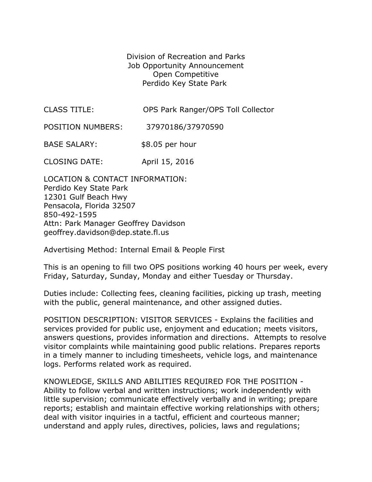Division of Recreation and Parks Job Opportunity Announcement Open Competitive Perdido Key State Park

| <b>CLASS TITLE:</b> | OPS Park Ranger/OPS Toll Collector |
|---------------------|------------------------------------|
|---------------------|------------------------------------|

POSITION NUMBERS: 37970186/37970590

BASE SALARY: \$8.05 per hour

CLOSING DATE: April 15, 2016

LOCATION & CONTACT INFORMATION: Perdido Key State Park 12301 Gulf Beach Hwy Pensacola, Florida 32507 850-492-1595 Attn: Park Manager Geoffrey Davidson geoffrey.davidson@dep.state.fl.us

Advertising Method: Internal Email & People First

This is an opening to fill two OPS positions working 40 hours per week, every Friday, Saturday, Sunday, Monday and either Tuesday or Thursday.

Duties include: Collecting fees, cleaning facilities, picking up trash, meeting with the public, general maintenance, and other assigned duties.

POSITION DESCRIPTION: VISITOR SERVICES - Explains the facilities and services provided for public use, enjoyment and education; meets visitors, answers questions, provides information and directions. Attempts to resolve visitor complaints while maintaining good public relations. Prepares reports in a timely manner to including timesheets, vehicle logs, and maintenance logs. Performs related work as required.

KNOWLEDGE, SKILLS AND ABILITIES REQUIRED FOR THE POSITION - Ability to follow verbal and written instructions; work independently with little supervision; communicate effectively verbally and in writing; prepare reports; establish and maintain effective working relationships with others; deal with visitor inquiries in a tactful, efficient and courteous manner; understand and apply rules, directives, policies, laws and regulations;